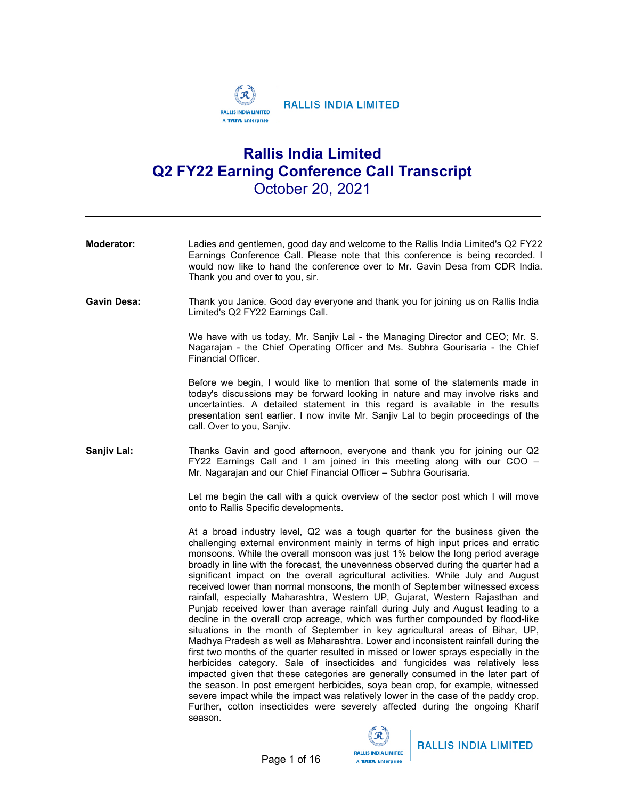

# Rallis India Limited Q2 FY22 Earning Conference Call Transcript October 20, 2021

| Moderator:  | Ladies and gentlemen, good day and welcome to the Rallis India Limited's Q2 FY22<br>Earnings Conference Call. Please note that this conference is being recorded. I<br>would now like to hand the conference over to Mr. Gavin Desa from CDR India.<br>Thank you and over to you, sir.                                                                                                                                                                                                                                                                                                                                                                                                                                                                                                                                                                                                                                                                                                                                                                                                                                                                                                                                                                                                                                                                                                                                                                                    |
|-------------|---------------------------------------------------------------------------------------------------------------------------------------------------------------------------------------------------------------------------------------------------------------------------------------------------------------------------------------------------------------------------------------------------------------------------------------------------------------------------------------------------------------------------------------------------------------------------------------------------------------------------------------------------------------------------------------------------------------------------------------------------------------------------------------------------------------------------------------------------------------------------------------------------------------------------------------------------------------------------------------------------------------------------------------------------------------------------------------------------------------------------------------------------------------------------------------------------------------------------------------------------------------------------------------------------------------------------------------------------------------------------------------------------------------------------------------------------------------------------|
| Gavin Desa: | Thank you Janice. Good day everyone and thank you for joining us on Rallis India<br>Limited's Q2 FY22 Earnings Call.                                                                                                                                                                                                                                                                                                                                                                                                                                                                                                                                                                                                                                                                                                                                                                                                                                                                                                                                                                                                                                                                                                                                                                                                                                                                                                                                                      |
|             | We have with us today, Mr. Sanjiv Lal - the Managing Director and CEO; Mr. S.<br>Nagarajan - the Chief Operating Officer and Ms. Subhra Gourisaria - the Chief<br>Financial Officer.                                                                                                                                                                                                                                                                                                                                                                                                                                                                                                                                                                                                                                                                                                                                                                                                                                                                                                                                                                                                                                                                                                                                                                                                                                                                                      |
|             | Before we begin, I would like to mention that some of the statements made in<br>today's discussions may be forward looking in nature and may involve risks and<br>uncertainties. A detailed statement in this regard is available in the results<br>presentation sent earlier. I now invite Mr. Sanjiv Lal to begin proceedings of the<br>call. Over to you, Sanjiv.                                                                                                                                                                                                                                                                                                                                                                                                                                                                                                                                                                                                                                                                                                                                                                                                                                                                                                                                                                                                                                                                                                      |
| Sanjiv Lal: | Thanks Gavin and good afternoon, everyone and thank you for joining our Q2<br>FY22 Earnings Call and I am joined in this meeting along with our COO -<br>Mr. Nagarajan and our Chief Financial Officer - Subhra Gourisaria.                                                                                                                                                                                                                                                                                                                                                                                                                                                                                                                                                                                                                                                                                                                                                                                                                                                                                                                                                                                                                                                                                                                                                                                                                                               |
|             | Let me begin the call with a quick overview of the sector post which I will move<br>onto to Rallis Specific developments.                                                                                                                                                                                                                                                                                                                                                                                                                                                                                                                                                                                                                                                                                                                                                                                                                                                                                                                                                                                                                                                                                                                                                                                                                                                                                                                                                 |
|             | At a broad industry level, Q2 was a tough quarter for the business given the<br>challenging external environment mainly in terms of high input prices and erratic<br>monsoons. While the overall monsoon was just 1% below the long period average<br>broadly in line with the forecast, the unevenness observed during the quarter had a<br>significant impact on the overall agricultural activities. While July and August<br>received lower than normal monsoons, the month of September witnessed excess<br>rainfall, especially Maharashtra, Western UP, Gujarat, Western Rajasthan and<br>Punjab received lower than average rainfall during July and August leading to a<br>decline in the overall crop acreage, which was further compounded by flood-like<br>situations in the month of September in key agricultural areas of Bihar, UP,<br>Madhya Pradesh as well as Maharashtra. Lower and inconsistent rainfall during the<br>first two months of the quarter resulted in missed or lower sprays especially in the<br>herbicides category. Sale of insecticides and fungicides was relatively less<br>impacted given that these categories are generally consumed in the later part of<br>the season. In post emergent herbicides, soya bean crop, for example, witnessed<br>severe impact while the impact was relatively lower in the case of the paddy crop.<br>Further, cotton insecticides were severely affected during the ongoing Kharif<br>season. |

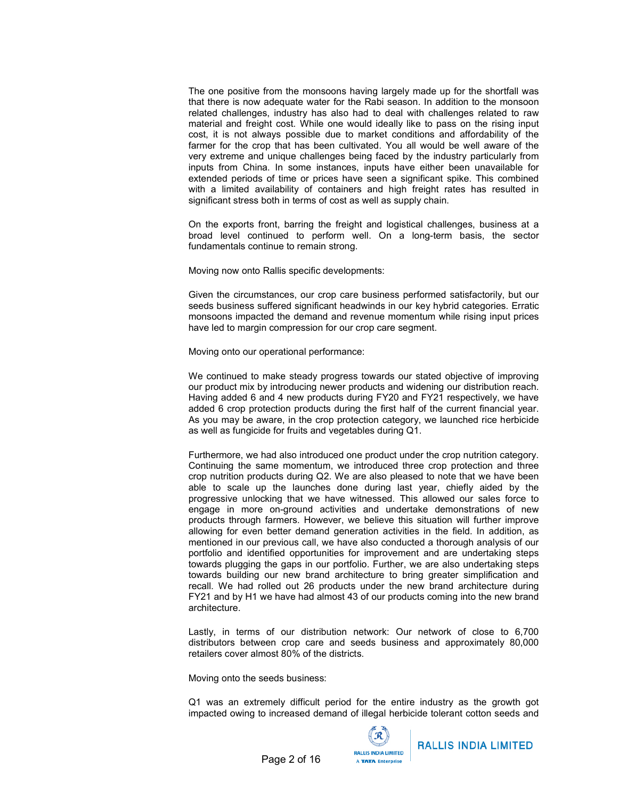The one positive from the monsoons having largely made up for the shortfall was that there is now adequate water for the Rabi season. In addition to the monsoon related challenges, industry has also had to deal with challenges related to raw material and freight cost. While one would ideally like to pass on the rising input cost, it is not always possible due to market conditions and affordability of the farmer for the crop that has been cultivated. You all would be well aware of the very extreme and unique challenges being faced by the industry particularly from inputs from China. In some instances, inputs have either been unavailable for extended periods of time or prices have seen a significant spike. This combined with a limited availability of containers and high freight rates has resulted in significant stress both in terms of cost as well as supply chain.

On the exports front, barring the freight and logistical challenges, business at a broad level continued to perform well. On a long-term basis, the sector fundamentals continue to remain strong.

Moving now onto Rallis specific developments:

Given the circumstances, our crop care business performed satisfactorily, but our seeds business suffered significant headwinds in our key hybrid categories. Erratic monsoons impacted the demand and revenue momentum while rising input prices have led to margin compression for our crop care segment.

Moving onto our operational performance:

We continued to make steady progress towards our stated objective of improving our product mix by introducing newer products and widening our distribution reach. Having added 6 and 4 new products during FY20 and FY21 respectively, we have added 6 crop protection products during the first half of the current financial year. As you may be aware, in the crop protection category, we launched rice herbicide as well as fungicide for fruits and vegetables during Q1.

Furthermore, we had also introduced one product under the crop nutrition category. Continuing the same momentum, we introduced three crop protection and three crop nutrition products during Q2. We are also pleased to note that we have been able to scale up the launches done during last year, chiefly aided by the progressive unlocking that we have witnessed. This allowed our sales force to engage in more on-ground activities and undertake demonstrations of new products through farmers. However, we believe this situation will further improve allowing for even better demand generation activities in the field. In addition, as mentioned in our previous call, we have also conducted a thorough analysis of our portfolio and identified opportunities for improvement and are undertaking steps towards plugging the gaps in our portfolio. Further, we are also undertaking steps towards building our new brand architecture to bring greater simplification and recall. We had rolled out 26 products under the new brand architecture during FY21 and by H1 we have had almost 43 of our products coming into the new brand architecture.

Lastly, in terms of our distribution network: Our network of close to 6,700 distributors between crop care and seeds business and approximately 80,000 retailers cover almost 80% of the districts.

Moving onto the seeds business:

Q1 was an extremely difficult period for the entire industry as the growth got impacted owing to increased demand of illegal herbicide tolerant cotton seeds and

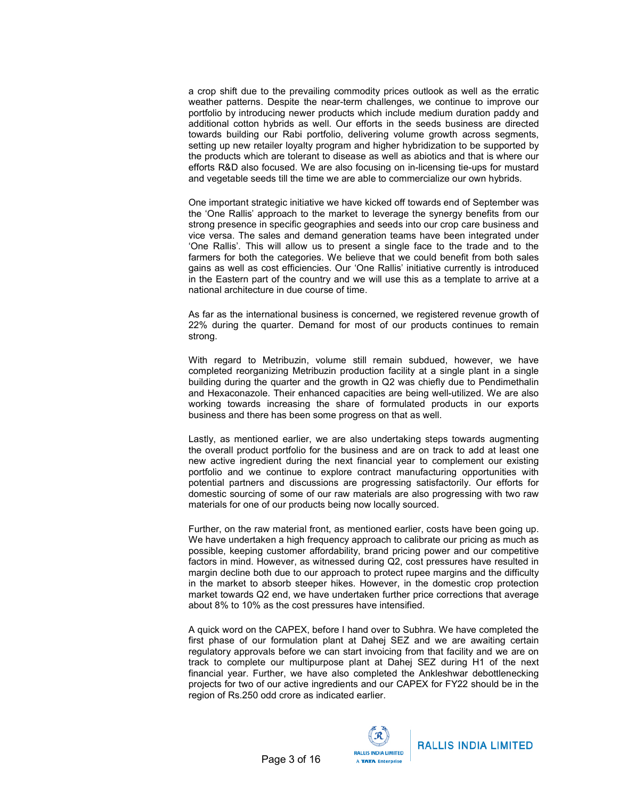a crop shift due to the prevailing commodity prices outlook as well as the erratic weather patterns. Despite the near-term challenges, we continue to improve our portfolio by introducing newer products which include medium duration paddy and additional cotton hybrids as well. Our efforts in the seeds business are directed towards building our Rabi portfolio, delivering volume growth across segments, setting up new retailer loyalty program and higher hybridization to be supported by the products which are tolerant to disease as well as abiotics and that is where our efforts R&D also focused. We are also focusing on in-licensing tie-ups for mustard and vegetable seeds till the time we are able to commercialize our own hybrids.

One important strategic initiative we have kicked off towards end of September was the 'One Rallis' approach to the market to leverage the synergy benefits from our strong presence in specific geographies and seeds into our crop care business and vice versa. The sales and demand generation teams have been integrated under 'One Rallis'. This will allow us to present a single face to the trade and to the farmers for both the categories. We believe that we could benefit from both sales gains as well as cost efficiencies. Our 'One Rallis' initiative currently is introduced in the Eastern part of the country and we will use this as a template to arrive at a national architecture in due course of time.

As far as the international business is concerned, we registered revenue growth of 22% during the quarter. Demand for most of our products continues to remain strong.

With regard to Metribuzin, volume still remain subdued, however, we have completed reorganizing Metribuzin production facility at a single plant in a single building during the quarter and the growth in Q2 was chiefly due to Pendimethalin and Hexaconazole. Their enhanced capacities are being well-utilized. We are also working towards increasing the share of formulated products in our exports business and there has been some progress on that as well.

Lastly, as mentioned earlier, we are also undertaking steps towards augmenting the overall product portfolio for the business and are on track to add at least one new active ingredient during the next financial year to complement our existing portfolio and we continue to explore contract manufacturing opportunities with potential partners and discussions are progressing satisfactorily. Our efforts for domestic sourcing of some of our raw materials are also progressing with two raw materials for one of our products being now locally sourced.

Further, on the raw material front, as mentioned earlier, costs have been going up. We have undertaken a high frequency approach to calibrate our pricing as much as possible, keeping customer affordability, brand pricing power and our competitive factors in mind. However, as witnessed during Q2, cost pressures have resulted in margin decline both due to our approach to protect rupee margins and the difficulty in the market to absorb steeper hikes. However, in the domestic crop protection market towards Q2 end, we have undertaken further price corrections that average about 8% to 10% as the cost pressures have intensified.

A quick word on the CAPEX, before I hand over to Subhra. We have completed the first phase of our formulation plant at Dahej SEZ and we are awaiting certain regulatory approvals before we can start invoicing from that facility and we are on track to complete our multipurpose plant at Dahej SEZ during H1 of the next financial year. Further, we have also completed the Ankleshwar debottlenecking projects for two of our active ingredients and our CAPEX for FY22 should be in the region of Rs.250 odd crore as indicated earlier.

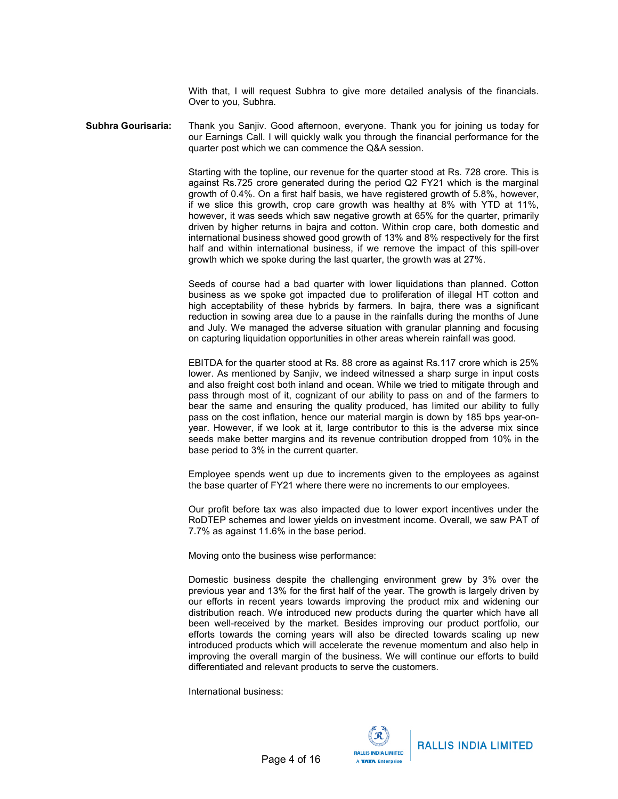With that, I will request Subhra to give more detailed analysis of the financials. Over to you, Subhra.

Subhra Gourisaria: Thank you Sanjiv. Good afternoon, everyone. Thank you for joining us today for our Earnings Call. I will quickly walk you through the financial performance for the quarter post which we can commence the Q&A session.

> Starting with the topline, our revenue for the quarter stood at Rs. 728 crore. This is against Rs.725 crore generated during the period Q2 FY21 which is the marginal growth of 0.4%. On a first half basis, we have registered growth of 5.8%, however, if we slice this growth, crop care growth was healthy at 8% with YTD at 11%, however, it was seeds which saw negative growth at 65% for the quarter, primarily driven by higher returns in bajra and cotton. Within crop care, both domestic and international business showed good growth of 13% and 8% respectively for the first half and within international business, if we remove the impact of this spill-over growth which we spoke during the last quarter, the growth was at 27%.

> Seeds of course had a bad quarter with lower liquidations than planned. Cotton business as we spoke got impacted due to proliferation of illegal HT cotton and high acceptability of these hybrids by farmers. In bajra, there was a significant reduction in sowing area due to a pause in the rainfalls during the months of June and July. We managed the adverse situation with granular planning and focusing on capturing liquidation opportunities in other areas wherein rainfall was good.

> EBITDA for the quarter stood at Rs. 88 crore as against Rs.117 crore which is 25% lower. As mentioned by Sanjiv, we indeed witnessed a sharp surge in input costs and also freight cost both inland and ocean. While we tried to mitigate through and pass through most of it, cognizant of our ability to pass on and of the farmers to bear the same and ensuring the quality produced, has limited our ability to fully pass on the cost inflation, hence our material margin is down by 185 bps year-onyear. However, if we look at it, large contributor to this is the adverse mix since seeds make better margins and its revenue contribution dropped from 10% in the base period to 3% in the current quarter.

> Employee spends went up due to increments given to the employees as against the base quarter of FY21 where there were no increments to our employees.

> Our profit before tax was also impacted due to lower export incentives under the RoDTEP schemes and lower yields on investment income. Overall, we saw PAT of 7.7% as against 11.6% in the base period.

Moving onto the business wise performance:

Domestic business despite the challenging environment grew by 3% over the previous year and 13% for the first half of the year. The growth is largely driven by our efforts in recent years towards improving the product mix and widening our distribution reach. We introduced new products during the quarter which have all been well-received by the market. Besides improving our product portfolio, our efforts towards the coming years will also be directed towards scaling up new introduced products which will accelerate the revenue momentum and also help in improving the overall margin of the business. We will continue our efforts to build differentiated and relevant products to serve the customers.

International business:

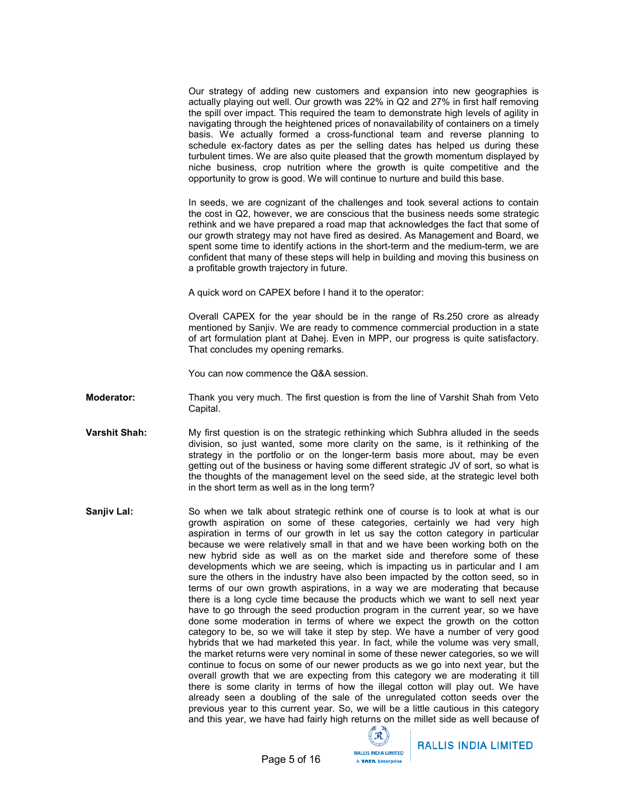Our strategy of adding new customers and expansion into new geographies is actually playing out well. Our growth was 22% in Q2 and 27% in first half removing the spill over impact. This required the team to demonstrate high levels of agility in navigating through the heightened prices of nonavailability of containers on a timely basis. We actually formed a cross-functional team and reverse planning to schedule ex-factory dates as per the selling dates has helped us during these turbulent times. We are also quite pleased that the growth momentum displayed by niche business, crop nutrition where the growth is quite competitive and the opportunity to grow is good. We will continue to nurture and build this base.

In seeds, we are cognizant of the challenges and took several actions to contain the cost in Q2, however, we are conscious that the business needs some strategic rethink and we have prepared a road map that acknowledges the fact that some of our growth strategy may not have fired as desired. As Management and Board, we spent some time to identify actions in the short-term and the medium-term, we are confident that many of these steps will help in building and moving this business on a profitable growth trajectory in future.

A quick word on CAPEX before I hand it to the operator:

Overall CAPEX for the year should be in the range of Rs.250 crore as already mentioned by Sanjiv. We are ready to commence commercial production in a state of art formulation plant at Dahej. Even in MPP, our progress is quite satisfactory. That concludes my opening remarks.

You can now commence the Q&A session.

**Moderator:** Thank you very much. The first question is from the line of Varshit Shah from Veto Capital.

- Varshit Shah: My first question is on the strategic rethinking which Subhra alluded in the seeds division, so just wanted, some more clarity on the same, is it rethinking of the strategy in the portfolio or on the longer-term basis more about, may be even getting out of the business or having some different strategic JV of sort, so what is the thoughts of the management level on the seed side, at the strategic level both in the short term as well as in the long term?
- Sanjiv Lal: So when we talk about strategic rethink one of course is to look at what is our growth aspiration on some of these categories, certainly we had very high aspiration in terms of our growth in let us say the cotton category in particular because we were relatively small in that and we have been working both on the new hybrid side as well as on the market side and therefore some of these developments which we are seeing, which is impacting us in particular and I am sure the others in the industry have also been impacted by the cotton seed, so in terms of our own growth aspirations, in a way we are moderating that because there is a long cycle time because the products which we want to sell next year have to go through the seed production program in the current year, so we have done some moderation in terms of where we expect the growth on the cotton category to be, so we will take it step by step. We have a number of very good hybrids that we had marketed this year. In fact, while the volume was very small, the market returns were very nominal in some of these newer categories, so we will continue to focus on some of our newer products as we go into next year, but the overall growth that we are expecting from this category we are moderating it till there is some clarity in terms of how the illegal cotton will play out. We have already seen a doubling of the sale of the unregulated cotton seeds over the previous year to this current year. So, we will be a little cautious in this category and this year, we have had fairly high returns on the millet side as well because of

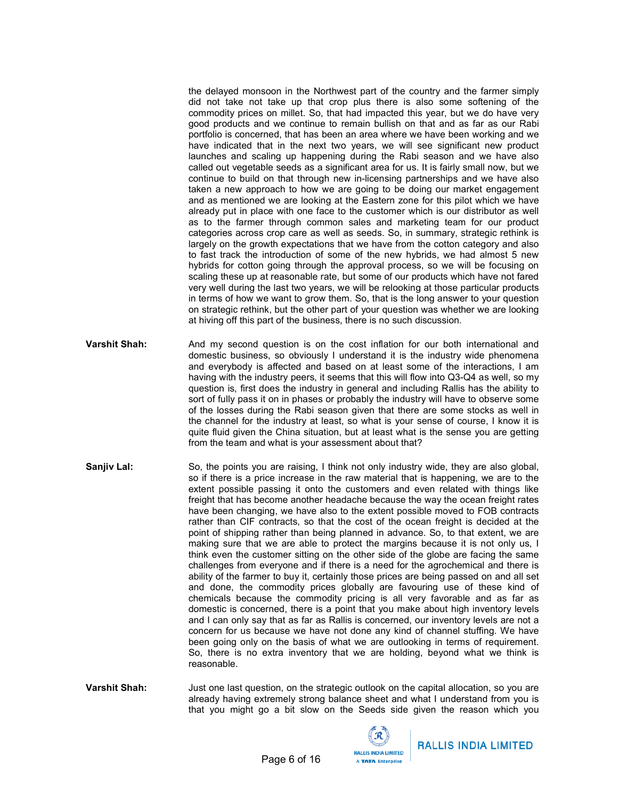the delayed monsoon in the Northwest part of the country and the farmer simply did not take not take up that crop plus there is also some softening of the commodity prices on millet. So, that had impacted this year, but we do have very good products and we continue to remain bullish on that and as far as our Rabi portfolio is concerned, that has been an area where we have been working and we have indicated that in the next two years, we will see significant new product launches and scaling up happening during the Rabi season and we have also called out vegetable seeds as a significant area for us. It is fairly small now, but we continue to build on that through new in-licensing partnerships and we have also taken a new approach to how we are going to be doing our market engagement and as mentioned we are looking at the Eastern zone for this pilot which we have already put in place with one face to the customer which is our distributor as well as to the farmer through common sales and marketing team for our product categories across crop care as well as seeds. So, in summary, strategic rethink is largely on the growth expectations that we have from the cotton category and also to fast track the introduction of some of the new hybrids, we had almost 5 new hybrids for cotton going through the approval process, so we will be focusing on scaling these up at reasonable rate, but some of our products which have not fared very well during the last two years, we will be relooking at those particular products in terms of how we want to grow them. So, that is the long answer to your question on strategic rethink, but the other part of your question was whether we are looking at hiving off this part of the business, there is no such discussion.

- Varshit Shah: And my second question is on the cost inflation for our both international and domestic business, so obviously I understand it is the industry wide phenomena and everybody is affected and based on at least some of the interactions, I am having with the industry peers, it seems that this will flow into Q3-Q4 as well, so my question is, first does the industry in general and including Rallis has the ability to sort of fully pass it on in phases or probably the industry will have to observe some of the losses during the Rabi season given that there are some stocks as well in the channel for the industry at least, so what is your sense of course, I know it is quite fluid given the China situation, but at least what is the sense you are getting from the team and what is your assessment about that?
- **Sanjiv Lal:** So, the points you are raising, I think not only industry wide, they are also global, so if there is a price increase in the raw material that is happening, we are to the extent possible passing it onto the customers and even related with things like freight that has become another headache because the way the ocean freight rates have been changing, we have also to the extent possible moved to FOB contracts rather than CIF contracts, so that the cost of the ocean freight is decided at the point of shipping rather than being planned in advance. So, to that extent, we are making sure that we are able to protect the margins because it is not only us, I think even the customer sitting on the other side of the globe are facing the same challenges from everyone and if there is a need for the agrochemical and there is ability of the farmer to buy it, certainly those prices are being passed on and all set and done, the commodity prices globally are favouring use of these kind of chemicals because the commodity pricing is all very favorable and as far as domestic is concerned, there is a point that you make about high inventory levels and I can only say that as far as Rallis is concerned, our inventory levels are not a concern for us because we have not done any kind of channel stuffing. We have been going only on the basis of what we are outlooking in terms of requirement. So, there is no extra inventory that we are holding, beyond what we think is reasonable.
- Varshit Shah: Just one last question, on the strategic outlook on the capital allocation, so you are already having extremely strong balance sheet and what I understand from you is that you might go a bit slow on the Seeds side given the reason which you

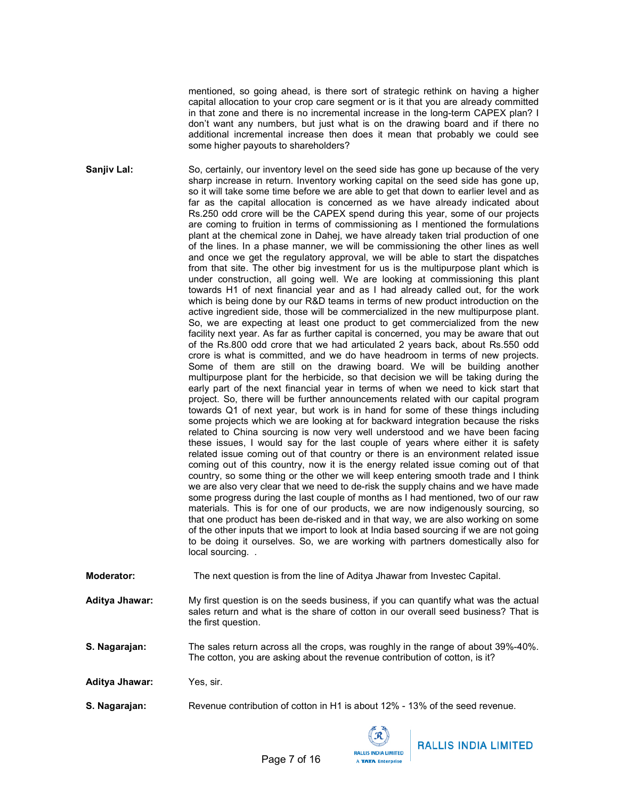mentioned, so going ahead, is there sort of strategic rethink on having a higher capital allocation to your crop care segment or is it that you are already committed in that zone and there is no incremental increase in the long-term CAPEX plan? I don't want any numbers, but just what is on the drawing board and if there no additional incremental increase then does it mean that probably we could see some higher payouts to shareholders?

Sanjiv Lal: So, certainly, our inventory level on the seed side has gone up because of the very sharp increase in return. Inventory working capital on the seed side has gone up, so it will take some time before we are able to get that down to earlier level and as far as the capital allocation is concerned as we have already indicated about Rs.250 odd crore will be the CAPEX spend during this year, some of our projects are coming to fruition in terms of commissioning as I mentioned the formulations plant at the chemical zone in Dahej, we have already taken trial production of one of the lines. In a phase manner, we will be commissioning the other lines as well and once we get the regulatory approval, we will be able to start the dispatches from that site. The other big investment for us is the multipurpose plant which is under construction, all going well. We are looking at commissioning this plant towards H1 of next financial year and as I had already called out, for the work which is being done by our R&D teams in terms of new product introduction on the active ingredient side, those will be commercialized in the new multipurpose plant. So, we are expecting at least one product to get commercialized from the new facility next year. As far as further capital is concerned, you may be aware that out of the Rs.800 odd crore that we had articulated 2 years back, about Rs.550 odd crore is what is committed, and we do have headroom in terms of new projects. Some of them are still on the drawing board. We will be building another multipurpose plant for the herbicide, so that decision we will be taking during the early part of the next financial year in terms of when we need to kick start that project. So, there will be further announcements related with our capital program towards Q1 of next year, but work is in hand for some of these things including some projects which we are looking at for backward integration because the risks related to China sourcing is now very well understood and we have been facing these issues, I would say for the last couple of years where either it is safety related issue coming out of that country or there is an environment related issue coming out of this country, now it is the energy related issue coming out of that country, so some thing or the other we will keep entering smooth trade and I think we are also very clear that we need to de-risk the supply chains and we have made some progress during the last couple of months as I had mentioned, two of our raw materials. This is for one of our products, we are now indigenously sourcing, so that one product has been de-risked and in that way, we are also working on some of the other inputs that we import to look at India based sourcing if we are not going to be doing it ourselves. So, we are working with partners domestically also for local sourcing...

- Moderator: The next question is from the line of Aditya Jhawar from Investec Capital.
- Aditya Jhawar: My first question is on the seeds business, if you can quantify what was the actual sales return and what is the share of cotton in our overall seed business? That is the first question.

**S. Nagarajan:** The sales return across all the crops, was roughly in the range of about 39%-40%. The cotton, you are asking about the revenue contribution of cotton, is it?

Aditya Jhawar: Yes, sir.

**S. Nagarajan:** Revenue contribution of cotton in H1 is about 12% - 13% of the seed revenue.

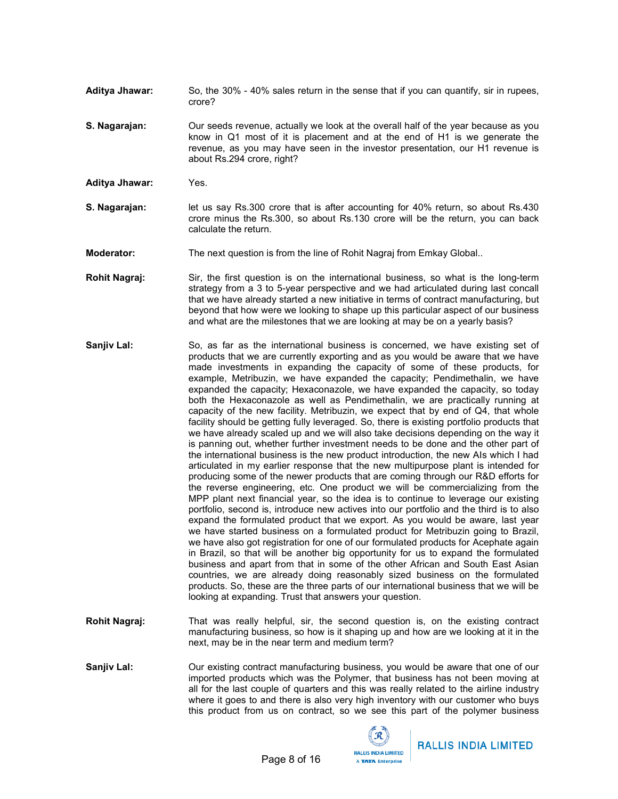- Aditya Jhawar: So, the 30% 40% sales return in the sense that if you can quantify, sir in rupees, crore?
- S. Nagarajan: Our seeds revenue, actually we look at the overall half of the year because as you know in Q1 most of it is placement and at the end of H1 is we generate the revenue, as you may have seen in the investor presentation, our H1 revenue is about Rs.294 crore, right?
- Aditya Jhawar: Yes.
- **S. Nagarajan:** let us say Rs.300 crore that is after accounting for 40% return, so about Rs.430 crore minus the Rs.300, so about Rs.130 crore will be the return, you can back calculate the return.
- **Moderator:** The next question is from the line of Rohit Nagraj from Emkay Global..
- Rohit Nagraj: Sir, the first question is on the international business, so what is the long-term strategy from a 3 to 5-year perspective and we had articulated during last concall that we have already started a new initiative in terms of contract manufacturing, but beyond that how were we looking to shape up this particular aspect of our business and what are the milestones that we are looking at may be on a yearly basis?
- Sanjiv Lal: So, as far as the international business is concerned, we have existing set of products that we are currently exporting and as you would be aware that we have made investments in expanding the capacity of some of these products, for example, Metribuzin, we have expanded the capacity; Pendimethalin, we have expanded the capacity; Hexaconazole, we have expanded the capacity, so today both the Hexaconazole as well as Pendimethalin, we are practically running at capacity of the new facility. Metribuzin, we expect that by end of Q4, that whole facility should be getting fully leveraged. So, there is existing portfolio products that we have already scaled up and we will also take decisions depending on the way it is panning out, whether further investment needs to be done and the other part of the international business is the new product introduction, the new AIs which I had articulated in my earlier response that the new multipurpose plant is intended for producing some of the newer products that are coming through our R&D efforts for the reverse engineering, etc. One product we will be commercializing from the MPP plant next financial year, so the idea is to continue to leverage our existing portfolio, second is, introduce new actives into our portfolio and the third is to also expand the formulated product that we export. As you would be aware, last year we have started business on a formulated product for Metribuzin going to Brazil, we have also got registration for one of our formulated products for Acephate again in Brazil, so that will be another big opportunity for us to expand the formulated business and apart from that in some of the other African and South East Asian countries, we are already doing reasonably sized business on the formulated products. So, these are the three parts of our international business that we will be looking at expanding. Trust that answers your question.
- Rohit Nagraj: That was really helpful, sir, the second question is, on the existing contract manufacturing business, so how is it shaping up and how are we looking at it in the next, may be in the near term and medium term?
- Sanjiv Lal: **Durexisting contract manufacturing business**, you would be aware that one of our imported products which was the Polymer, that business has not been moving at all for the last couple of quarters and this was really related to the airline industry where it goes to and there is also very high inventory with our customer who buys this product from us on contract, so we see this part of the polymer business

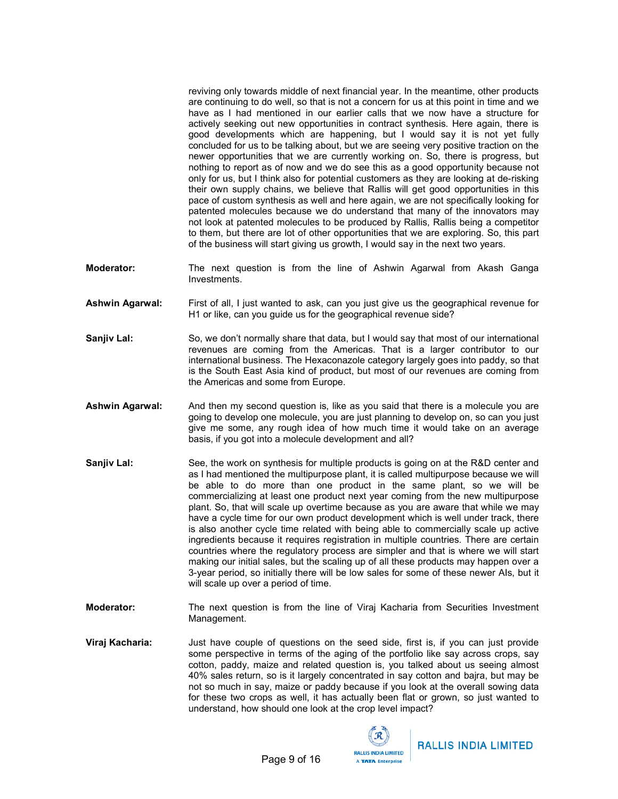reviving only towards middle of next financial year. In the meantime, other products are continuing to do well, so that is not a concern for us at this point in time and we have as I had mentioned in our earlier calls that we now have a structure for actively seeking out new opportunities in contract synthesis. Here again, there is good developments which are happening, but I would say it is not yet fully concluded for us to be talking about, but we are seeing very positive traction on the newer opportunities that we are currently working on. So, there is progress, but nothing to report as of now and we do see this as a good opportunity because not only for us, but I think also for potential customers as they are looking at de-risking their own supply chains, we believe that Rallis will get good opportunities in this pace of custom synthesis as well and here again, we are not specifically looking for patented molecules because we do understand that many of the innovators may not look at patented molecules to be produced by Rallis, Rallis being a competitor to them, but there are lot of other opportunities that we are exploring. So, this part of the business will start giving us growth, I would say in the next two years.

- **Moderator:** The next question is from the line of Ashwin Agarwal from Akash Ganga Investments.
- **Ashwin Agarwal:** First of all, I just wanted to ask, can you just give us the geographical revenue for H1 or like, can you guide us for the geographical revenue side?
- Sanjiv Lal: So, we don't normally share that data, but I would say that most of our international revenues are coming from the Americas. That is a larger contributor to our international business. The Hexaconazole category largely goes into paddy, so that is the South East Asia kind of product, but most of our revenues are coming from the Americas and some from Europe.
- Ashwin Agarwal: And then my second question is, like as you said that there is a molecule you are going to develop one molecule, you are just planning to develop on, so can you just give me some, any rough idea of how much time it would take on an average basis, if you got into a molecule development and all?
- **Sanjiv Lal:** See, the work on synthesis for multiple products is going on at the R&D center and as I had mentioned the multipurpose plant, it is called multipurpose because we will be able to do more than one product in the same plant, so we will be commercializing at least one product next year coming from the new multipurpose plant. So, that will scale up overtime because as you are aware that while we may have a cycle time for our own product development which is well under track, there is also another cycle time related with being able to commercially scale up active ingredients because it requires registration in multiple countries. There are certain countries where the regulatory process are simpler and that is where we will start making our initial sales, but the scaling up of all these products may happen over a 3-year period, so initially there will be low sales for some of these newer AIs, but it will scale up over a period of time.
- **Moderator:** The next question is from the line of Viraj Kacharia from Securities Investment Management.
- Viraj Kacharia: Just have couple of questions on the seed side, first is, if you can just provide some perspective in terms of the aging of the portfolio like say across crops, say cotton, paddy, maize and related question is, you talked about us seeing almost 40% sales return, so is it largely concentrated in say cotton and bajra, but may be not so much in say, maize or paddy because if you look at the overall sowing data for these two crops as well, it has actually been flat or grown, so just wanted to understand, how should one look at the crop level impact?



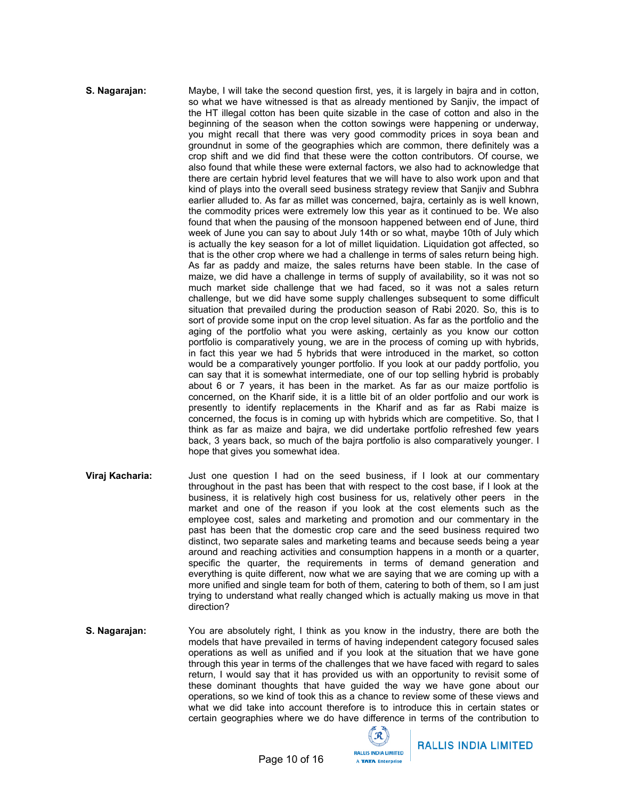#### S. Nagarajan: Maybe, I will take the second question first, yes, it is largely in bajra and in cotton, so what we have witnessed is that as already mentioned by Sanjiv, the impact of the HT illegal cotton has been quite sizable in the case of cotton and also in the beginning of the season when the cotton sowings were happening or underway, you might recall that there was very good commodity prices in soya bean and groundnut in some of the geographies which are common, there definitely was a crop shift and we did find that these were the cotton contributors. Of course, we also found that while these were external factors, we also had to acknowledge that there are certain hybrid level features that we will have to also work upon and that kind of plays into the overall seed business strategy review that Sanjiv and Subhra earlier alluded to. As far as millet was concerned, bajra, certainly as is well known, the commodity prices were extremely low this year as it continued to be. We also found that when the pausing of the monsoon happened between end of June, third week of June you can say to about July 14th or so what, maybe 10th of July which is actually the key season for a lot of millet liquidation. Liquidation got affected, so that is the other crop where we had a challenge in terms of sales return being high. As far as paddy and maize, the sales returns have been stable. In the case of maize, we did have a challenge in terms of supply of availability, so it was not so much market side challenge that we had faced, so it was not a sales return challenge, but we did have some supply challenges subsequent to some difficult situation that prevailed during the production season of Rabi 2020. So, this is to sort of provide some input on the crop level situation. As far as the portfolio and the aging of the portfolio what you were asking, certainly as you know our cotton portfolio is comparatively young, we are in the process of coming up with hybrids, in fact this year we had 5 hybrids that were introduced in the market, so cotton would be a comparatively younger portfolio. If you look at our paddy portfolio, you can say that it is somewhat intermediate, one of our top selling hybrid is probably about 6 or 7 years, it has been in the market. As far as our maize portfolio is concerned, on the Kharif side, it is a little bit of an older portfolio and our work is presently to identify replacements in the Kharif and as far as Rabi maize is concerned, the focus is in coming up with hybrids which are competitive. So, that I think as far as maize and bajra, we did undertake portfolio refreshed few years back, 3 years back, so much of the bajra portfolio is also comparatively younger. I hope that gives you somewhat idea.

- **Viraj Kacharia:** Just one question I had on the seed business, if I look at our commentary throughout in the past has been that with respect to the cost base, if I look at the business, it is relatively high cost business for us, relatively other peers in the market and one of the reason if you look at the cost elements such as the employee cost, sales and marketing and promotion and our commentary in the past has been that the domestic crop care and the seed business required two distinct, two separate sales and marketing teams and because seeds being a year around and reaching activities and consumption happens in a month or a quarter, specific the quarter, the requirements in terms of demand generation and everything is quite different, now what we are saying that we are coming up with a more unified and single team for both of them, catering to both of them, so I am just trying to understand what really changed which is actually making us move in that direction?
- S. Nagarajan: You are absolutely right, I think as you know in the industry, there are both the models that have prevailed in terms of having independent category focused sales operations as well as unified and if you look at the situation that we have gone through this year in terms of the challenges that we have faced with regard to sales return, I would say that it has provided us with an opportunity to revisit some of these dominant thoughts that have guided the way we have gone about our operations, so we kind of took this as a chance to review some of these views and what we did take into account therefore is to introduce this in certain states or certain geographies where we do have difference in terms of the contribution to

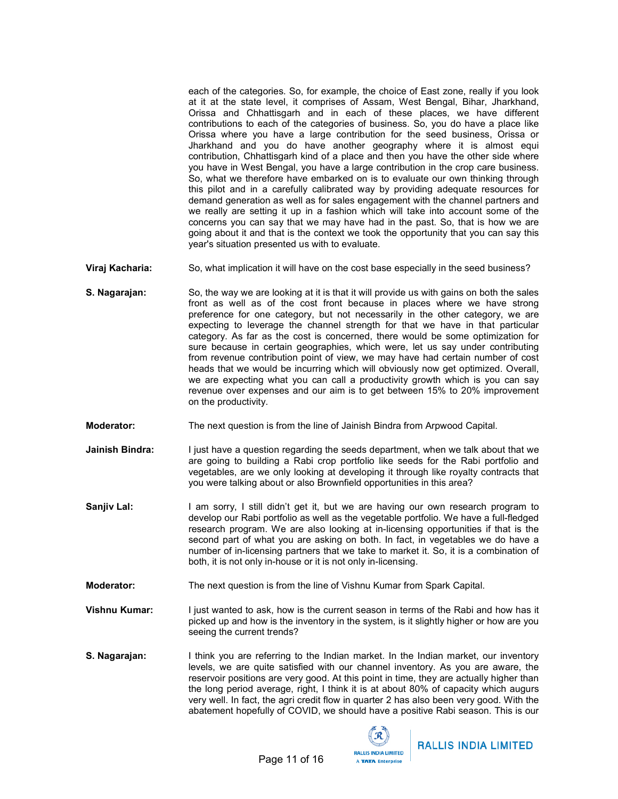each of the categories. So, for example, the choice of East zone, really if you look at it at the state level, it comprises of Assam, West Bengal, Bihar, Jharkhand, Orissa and Chhattisgarh and in each of these places, we have different contributions to each of the categories of business. So, you do have a place like Orissa where you have a large contribution for the seed business, Orissa or Jharkhand and you do have another geography where it is almost equi contribution, Chhattisgarh kind of a place and then you have the other side where you have in West Bengal, you have a large contribution in the crop care business. So, what we therefore have embarked on is to evaluate our own thinking through this pilot and in a carefully calibrated way by providing adequate resources for demand generation as well as for sales engagement with the channel partners and we really are setting it up in a fashion which will take into account some of the concerns you can say that we may have had in the past. So, that is how we are going about it and that is the context we took the opportunity that you can say this year's situation presented us with to evaluate.

- Viraj Kacharia: So, what implication it will have on the cost base especially in the seed business?
- **S. Nagarajan:** So, the way we are looking at it is that it will provide us with gains on both the sales front as well as of the cost front because in places where we have strong preference for one category, but not necessarily in the other category, we are expecting to leverage the channel strength for that we have in that particular category. As far as the cost is concerned, there would be some optimization for sure because in certain geographies, which were, let us say under contributing from revenue contribution point of view, we may have had certain number of cost heads that we would be incurring which will obviously now get optimized. Overall, we are expecting what you can call a productivity growth which is you can say revenue over expenses and our aim is to get between 15% to 20% improvement on the productivity.
- Moderator: The next question is from the line of Jainish Bindra from Arpwood Capital.
- **Jainish Bindra:** I just have a question regarding the seeds department, when we talk about that we are going to building a Rabi crop portfolio like seeds for the Rabi portfolio and vegetables, are we only looking at developing it through like royalty contracts that you were talking about or also Brownfield opportunities in this area?
- Sanjiv Lal: I am sorry, I still didn't get it, but we are having our own research program to develop our Rabi portfolio as well as the vegetable portfolio. We have a full-fledged research program. We are also looking at in-licensing opportunities if that is the second part of what you are asking on both. In fact, in vegetables we do have a number of in-licensing partners that we take to market it. So, it is a combination of both, it is not only in-house or it is not only in-licensing.
- **Moderator:** The next question is from the line of Vishnu Kumar from Spark Capital.
- Vishnu Kumar: I just wanted to ask, how is the current season in terms of the Rabi and how has it picked up and how is the inventory in the system, is it slightly higher or how are you seeing the current trends?
- **S. Nagarajan:** I think you are referring to the Indian market. In the Indian market, our inventory levels, we are quite satisfied with our channel inventory. As you are aware, the reservoir positions are very good. At this point in time, they are actually higher than the long period average, right, I think it is at about 80% of capacity which augurs very well. In fact, the agri credit flow in quarter 2 has also been very good. With the abatement hopefully of COVID, we should have a positive Rabi season. This is our



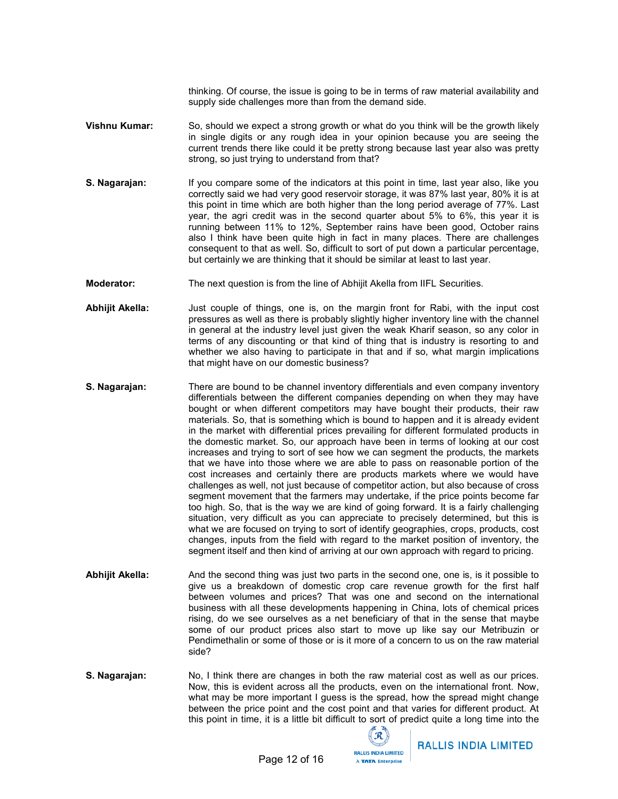thinking. Of course, the issue is going to be in terms of raw material availability and supply side challenges more than from the demand side.

- Vishnu Kumar: So, should we expect a strong growth or what do you think will be the growth likely in single digits or any rough idea in your opinion because you are seeing the current trends there like could it be pretty strong because last year also was pretty strong, so just trying to understand from that?
- S. Nagarajan: If you compare some of the indicators at this point in time, last year also, like you correctly said we had very good reservoir storage, it was 87% last year, 80% it is at this point in time which are both higher than the long period average of 77%. Last year, the agri credit was in the second quarter about 5% to 6%, this year it is running between 11% to 12%, September rains have been good, October rains also I think have been quite high in fact in many places. There are challenges consequent to that as well. So, difficult to sort of put down a particular percentage, but certainly we are thinking that it should be similar at least to last year.
- Moderator: The next question is from the line of Abhijit Akella from IIFL Securities.
- Abhijit Akella: Just couple of things, one is, on the margin front for Rabi, with the input cost pressures as well as there is probably slightly higher inventory line with the channel in general at the industry level just given the weak Kharif season, so any color in terms of any discounting or that kind of thing that is industry is resorting to and whether we also having to participate in that and if so, what margin implications that might have on our domestic business?
- **S. Nagarajan:** There are bound to be channel inventory differentials and even company inventory differentials between the different companies depending on when they may have bought or when different competitors may have bought their products, their raw materials. So, that is something which is bound to happen and it is already evident in the market with differential prices prevailing for different formulated products in the domestic market. So, our approach have been in terms of looking at our cost increases and trying to sort of see how we can segment the products, the markets that we have into those where we are able to pass on reasonable portion of the cost increases and certainly there are products markets where we would have challenges as well, not just because of competitor action, but also because of cross segment movement that the farmers may undertake, if the price points become far too high. So, that is the way we are kind of going forward. It is a fairly challenging situation, very difficult as you can appreciate to precisely determined, but this is what we are focused on trying to sort of identify geographies, crops, products, cost changes, inputs from the field with regard to the market position of inventory, the segment itself and then kind of arriving at our own approach with regard to pricing.
- Abhijit Akella: And the second thing was just two parts in the second one, one is, is it possible to give us a breakdown of domestic crop care revenue growth for the first half between volumes and prices? That was one and second on the international business with all these developments happening in China, lots of chemical prices rising, do we see ourselves as a net beneficiary of that in the sense that maybe some of our product prices also start to move up like say our Metribuzin or Pendimethalin or some of those or is it more of a concern to us on the raw material side?
- S. Nagarajan: No, I think there are changes in both the raw material cost as well as our prices. Now, this is evident across all the products, even on the international front. Now, what may be more important I guess is the spread, how the spread might change between the price point and the cost point and that varies for different product. At this point in time, it is a little bit difficult to sort of predict quite a long time into the

 $\mathcal{R}$ **RALLIS INDIA LIMITED** A TATA Enterprise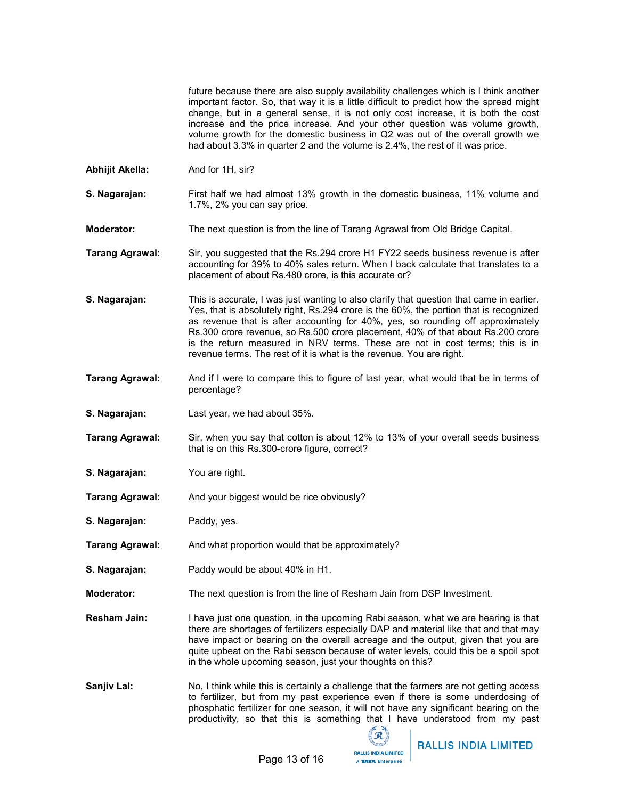future because there are also supply availability challenges which is I think another important factor. So, that way it is a little difficult to predict how the spread might change, but in a general sense, it is not only cost increase, it is both the cost increase and the price increase. And your other question was volume growth, volume growth for the domestic business in Q2 was out of the overall growth we had about 3.3% in quarter 2 and the volume is 2.4%, the rest of it was price.

- Abhijit Akella: And for 1H, sir?
- **S. Nagarajan:** First half we had almost 13% growth in the domestic business, 11% volume and 1.7%, 2% you can say price.
- Moderator: The next question is from the line of Tarang Agrawal from Old Bridge Capital.
- Tarang Agrawal: Sir, you suggested that the Rs.294 crore H1 FY22 seeds business revenue is after accounting for 39% to 40% sales return. When I back calculate that translates to a placement of about Rs.480 crore, is this accurate or?
- S. Nagarajan: This is accurate, I was just wanting to also clarify that question that came in earlier. Yes, that is absolutely right, Rs.294 crore is the 60%, the portion that is recognized as revenue that is after accounting for 40%, yes, so rounding off approximately Rs.300 crore revenue, so Rs.500 crore placement, 40% of that about Rs.200 crore is the return measured in NRV terms. These are not in cost terms; this is in revenue terms. The rest of it is what is the revenue. You are right.
- Tarang Agrawal: And if I were to compare this to figure of last year, what would that be in terms of percentage?
- S. Nagarajan: Last year, we had about 35%.
- Tarang Agrawal: Sir, when you say that cotton is about 12% to 13% of your overall seeds business that is on this Rs.300-crore figure, correct?
- S. Nagarajan: You are right.
- **Tarang Agrawal:** And your biggest would be rice obviously?
- S. Nagarajan: Paddy, yes.
- Tarang Agrawal: And what proportion would that be approximately?
- S. Nagarajan: Paddy would be about 40% in H1.
- Moderator: The next question is from the line of Resham Jain from DSP Investment.
- **Resham Jain:** I have just one question, in the upcoming Rabi season, what we are hearing is that there are shortages of fertilizers especially DAP and material like that and that may have impact or bearing on the overall acreage and the output, given that you are quite upbeat on the Rabi season because of water levels, could this be a spoil spot in the whole upcoming season, just your thoughts on this?
- Sanjiv Lal: No, I think while this is certainly a challenge that the farmers are not getting access to fertilizer, but from my past experience even if there is some underdosing of phosphatic fertilizer for one season, it will not have any significant bearing on the productivity, so that this is something that I have understood from my past

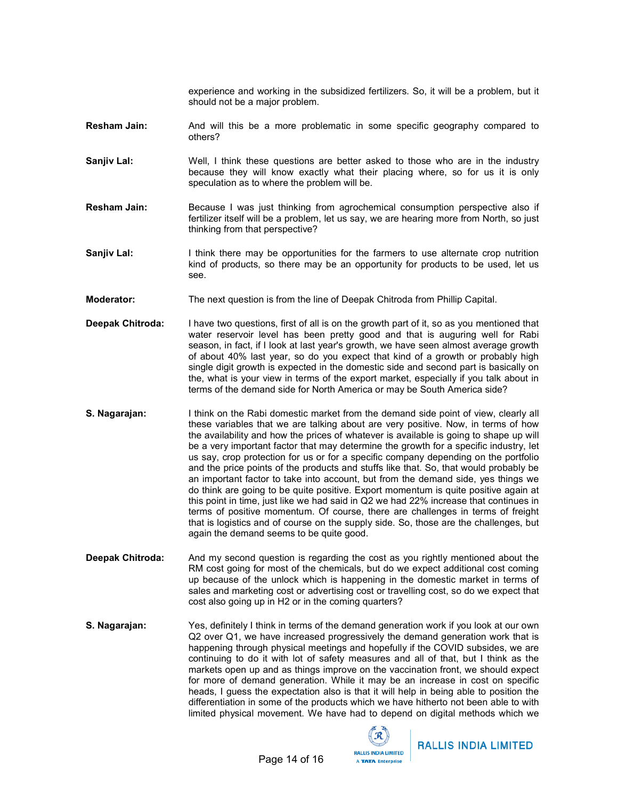experience and working in the subsidized fertilizers. So, it will be a problem, but it should not be a major problem.

- **Resham Jain:** And will this be a more problematic in some specific geography compared to others?
- Sanjiv Lal: Well, I think these questions are better asked to those who are in the industry because they will know exactly what their placing where, so for us it is only speculation as to where the problem will be.
- Resham Jain: Because I was just thinking from agrochemical consumption perspective also if fertilizer itself will be a problem, let us say, we are hearing more from North, so just thinking from that perspective?
- **Sanjiv Lal:** I think there may be opportunities for the farmers to use alternate crop nutrition kind of products, so there may be an opportunity for products to be used, let us see.
- Moderator: The next question is from the line of Deepak Chitroda from Phillip Capital.
- **Deepak Chitroda:** I have two questions, first of all is on the growth part of it, so as you mentioned that water reservoir level has been pretty good and that is auguring well for Rabi season, in fact, if I look at last year's growth, we have seen almost average growth of about 40% last year, so do you expect that kind of a growth or probably high single digit growth is expected in the domestic side and second part is basically on the, what is your view in terms of the export market, especially if you talk about in terms of the demand side for North America or may be South America side?
- S. Nagarajan: I think on the Rabi domestic market from the demand side point of view, clearly all these variables that we are talking about are very positive. Now, in terms of how the availability and how the prices of whatever is available is going to shape up will be a very important factor that may determine the growth for a specific industry, let us say, crop protection for us or for a specific company depending on the portfolio and the price points of the products and stuffs like that. So, that would probably be an important factor to take into account, but from the demand side, yes things we do think are going to be quite positive. Export momentum is quite positive again at this point in time, just like we had said in Q2 we had 22% increase that continues in terms of positive momentum. Of course, there are challenges in terms of freight that is logistics and of course on the supply side. So, those are the challenges, but again the demand seems to be quite good.
- **Deepak Chitroda:** And my second question is regarding the cost as you rightly mentioned about the RM cost going for most of the chemicals, but do we expect additional cost coming up because of the unlock which is happening in the domestic market in terms of sales and marketing cost or advertising cost or travelling cost, so do we expect that cost also going up in H2 or in the coming quarters?
- **S. Nagarajan:** Yes, definitely I think in terms of the demand generation work if you look at our own Q2 over Q1, we have increased progressively the demand generation work that is happening through physical meetings and hopefully if the COVID subsides, we are continuing to do it with lot of safety measures and all of that, but I think as the markets open up and as things improve on the vaccination front, we should expect for more of demand generation. While it may be an increase in cost on specific heads, I guess the expectation also is that it will help in being able to position the differentiation in some of the products which we have hitherto not been able to with limited physical movement. We have had to depend on digital methods which we

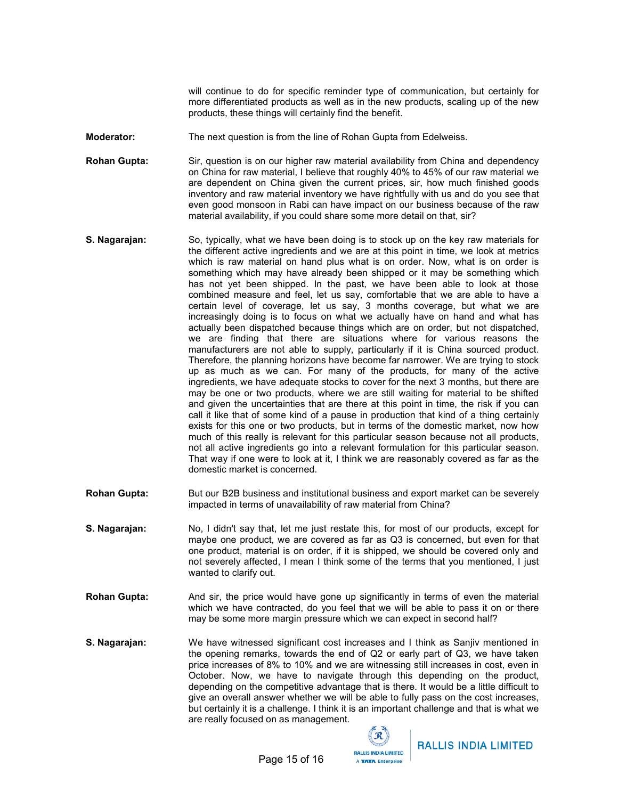will continue to do for specific reminder type of communication, but certainly for more differentiated products as well as in the new products, scaling up of the new products, these things will certainly find the benefit.

**Moderator:** The next question is from the line of Rohan Gupta from Edelweiss.

Rohan Gupta: Sir, question is on our higher raw material availability from China and dependency on China for raw material, I believe that roughly 40% to 45% of our raw material we are dependent on China given the current prices, sir, how much finished goods inventory and raw material inventory we have rightfully with us and do you see that even good monsoon in Rabi can have impact on our business because of the raw material availability, if you could share some more detail on that, sir?

- S. Nagarajan: So, typically, what we have been doing is to stock up on the key raw materials for the different active ingredients and we are at this point in time, we look at metrics which is raw material on hand plus what is on order. Now, what is on order is something which may have already been shipped or it may be something which has not yet been shipped. In the past, we have been able to look at those combined measure and feel, let us say, comfortable that we are able to have a certain level of coverage, let us say, 3 months coverage, but what we are increasingly doing is to focus on what we actually have on hand and what has actually been dispatched because things which are on order, but not dispatched, we are finding that there are situations where for various reasons the manufacturers are not able to supply, particularly if it is China sourced product. Therefore, the planning horizons have become far narrower. We are trying to stock up as much as we can. For many of the products, for many of the active ingredients, we have adequate stocks to cover for the next 3 months, but there are may be one or two products, where we are still waiting for material to be shifted and given the uncertainties that are there at this point in time, the risk if you can call it like that of some kind of a pause in production that kind of a thing certainly exists for this one or two products, but in terms of the domestic market, now how much of this really is relevant for this particular season because not all products, not all active ingredients go into a relevant formulation for this particular season. That way if one were to look at it, I think we are reasonably covered as far as the domestic market is concerned.
- Rohan Gupta: But our B2B business and institutional business and export market can be severely impacted in terms of unavailability of raw material from China?
- **S. Nagarajan:** No, I didn't say that, let me just restate this, for most of our products, except for maybe one product, we are covered as far as Q3 is concerned, but even for that one product, material is on order, if it is shipped, we should be covered only and not severely affected, I mean I think some of the terms that you mentioned, I just wanted to clarify out.
- **Rohan Gupta:** And sir, the price would have gone up significantly in terms of even the material which we have contracted, do you feel that we will be able to pass it on or there may be some more margin pressure which we can expect in second half?
- S. Nagarajan: We have witnessed significant cost increases and I think as Sanjiv mentioned in the opening remarks, towards the end of Q2 or early part of Q3, we have taken price increases of 8% to 10% and we are witnessing still increases in cost, even in October. Now, we have to navigate through this depending on the product, depending on the competitive advantage that is there. It would be a little difficult to give an overall answer whether we will be able to fully pass on the cost increases, but certainly it is a challenge. I think it is an important challenge and that is what we are really focused on as management.